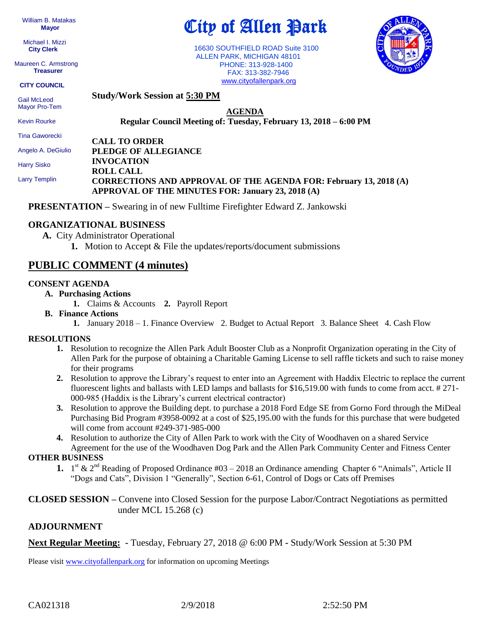William B. Matakas  **Mayor**

 Michael I. Mizzi **City Clerk**

Maureen C. Armstrong **Treasurer**

**CITY COUNCIL**

City of Allen Park

 16630 SOUTHFIELD ROAD Suite 3100 ALLEN PARK, MICHIGAN 48101 PHONE: 313-928-1400 FAX: 313-382-7946 [www.cityofallenpark.org](http://www.cityofallenpark.org/)



 Gail McLeod Mayor Pro-Tem

Kevin Rourke

**AGENDA Regular Council Meeting of: Tuesday, February 13, 2018 – 6:00 PM** 

**CALL TO ORDER INVOCATION ROLL CALL** Tina Gaworecki Angelo A. DeGiulio Harry Sisko

Larry Templin

**PLEDGE OF ALLEGIANCE CORRECTIONS AND APPROVAL OF THE AGENDA FOR: February 13, 2018 (A) APPROVAL OF THE MINUTES FOR: January 23, 2018 (A)**

**PRESENTATION –** Swearing in of new Fulltime Firefighter Edward Z. Jankowski

### **ORGANIZATIONAL BUSINESS**

- **A.** City Administrator Operational
	- **1.** Motion to Accept & File the updates/reports/document submissions

## **PUBLIC COMMENT (4 minutes)**

#### **CONSENT AGENDA**

- **A. Purchasing Actions**
	- **1.** Claims & Accounts **2.** Payroll Report

**Study/Work Session at 5:30 PM**

- **B. Finance Actions**
	- **1.** January 2018 1. Finance Overview 2. Budget to Actual Report 3. Balance Sheet 4. Cash Flow

#### **RESOLUTIONS**

- **1.** Resolution to recognize the Allen Park Adult Booster Club as a Nonprofit Organization operating in the City of Allen Park for the purpose of obtaining a Charitable Gaming License to sell raffle tickets and such to raise money for their programs
- **2.** Resolution to approve the Library's request to enter into an Agreement with Haddix Electric to replace the current fluorescent lights and ballasts with LED lamps and ballasts for \$16,519.00 with funds to come from acct. # 271- 000-985 (Haddix is the Library's current electrical contractor)
- **3.** Resolution to approve the Building dept. to purchase a 2018 Ford Edge SE from Gorno Ford through the MiDeal Purchasing Bid Program #3958-0092 at a cost of \$25,195.00 with the funds for this purchase that were budgeted will come from account #249-371-985-000
- **4.** Resolution to authorize the City of Allen Park to work with the City of Woodhaven on a shared Service Agreement for the use of the Woodhaven Dog Park and the Allen Park Community Center and Fitness Center

#### **OTHER BUSINESS**

**1.**  $1^{st}$  &  $2^{nd}$  Reading of Proposed Ordinance #03 – 2018 an Ordinance amending Chapter 6 "Animals", Article II "Dogs and Cats", Division 1 "Generally", Section 6-61, Control of Dogs or Cats off Premises

**CLOSED SESSION –** Convene into Closed Session for the purpose Labor/Contract Negotiations as permitted under MCL 15.268 (c)

#### **ADJOURNMENT**

**Next Regular Meeting: -** Tuesday, February 27, 2018 @ 6:00 PM **-** Study/Work Session at 5:30 PM

Please visit [www.cityofallenpark.org](http://www.cityofallenpark.org/) for information on upcoming Meetings